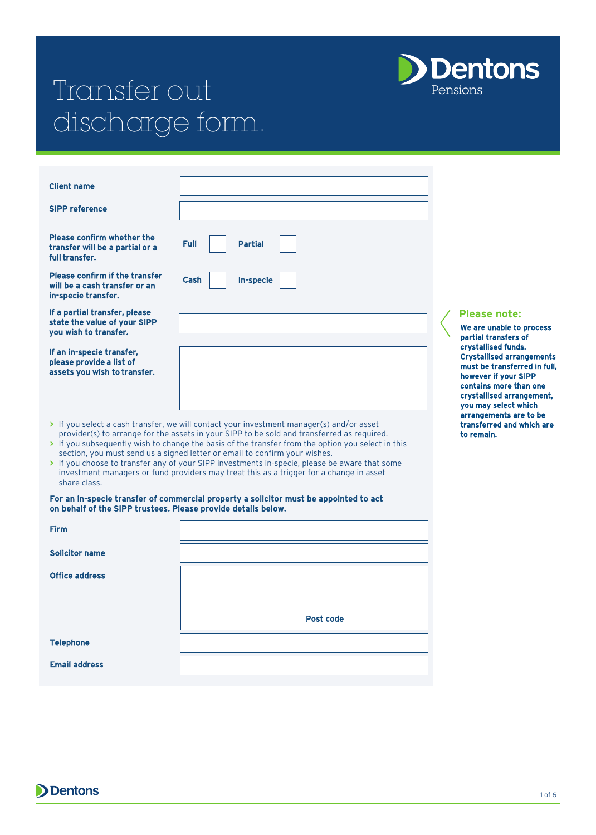# Transfer out **Dentons** discharge form.

| <b>Client name</b>                                                                            |                                                                                                                                                                                                                                                                                                                                                                           |                                                                        |
|-----------------------------------------------------------------------------------------------|---------------------------------------------------------------------------------------------------------------------------------------------------------------------------------------------------------------------------------------------------------------------------------------------------------------------------------------------------------------------------|------------------------------------------------------------------------|
| <b>SIPP reference</b>                                                                         |                                                                                                                                                                                                                                                                                                                                                                           |                                                                        |
| Please confirm whether the<br>transfer will be a partial or a<br>full transfer.               | <b>Full</b><br><b>Partial</b>                                                                                                                                                                                                                                                                                                                                             |                                                                        |
| <b>Please confirm if the transfer</b><br>will be a cash transfer or an<br>in-specie transfer. | Cash<br>In-specie                                                                                                                                                                                                                                                                                                                                                         |                                                                        |
| If a partial transfer, please<br>state the value of your SIPP<br>you wish to transfer.        |                                                                                                                                                                                                                                                                                                                                                                           | Ple<br>We a<br>part                                                    |
| If an in-specie transfer,<br>please provide a list of<br>assets you wish to transfer.         |                                                                                                                                                                                                                                                                                                                                                                           | <b>crys</b><br><b>Crys</b><br>mus<br>how<br>cont<br><b>Crys</b><br>you |
|                                                                                               | > If you select a cash transfer, we will contact your investment manager(s) and/or asset<br>provider(s) to arrange for the assets in your SIPP to be sold and transferred as required.<br>> If you subsequently wish to change the basis of the transfer from the option you select in this<br>section, you must send us a signed letter or email to confirm your wishes. | arra<br>tran<br>to re                                                  |

**>** If you choose to transfer any of your SIPP investments in-specie, please be aware that some investment managers or fund providers may treat this as a trigger for a change in asset share class.

#### For an in-specie transfer of commercial property a solicitor must be appointed to act on behalf of the SIPP trustees. Please provide details below.

| <b>Firm</b>           |           |
|-----------------------|-----------|
| <b>Solicitor name</b> |           |
| <b>Office address</b> |           |
|                       |           |
|                       | Post code |
| <b>Telephone</b>      |           |
| <b>Email address</b>  |           |
|                       |           |



are unable to process tial transfers of stallised funds. stallised arrangements t be transferred in full, ever if your SIPP tains more than one stallised arrangement, may select which **Ingements are to be** isferred and which are emain.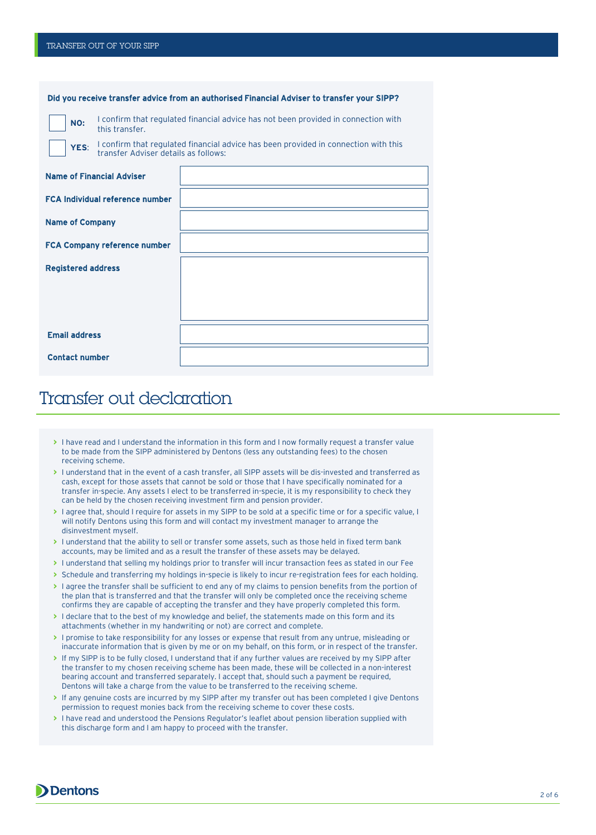|                           |                                                                                                                             | Did you receive transfer advice from an authorised Financial Adviser to transfer your SIPP? |  |
|---------------------------|-----------------------------------------------------------------------------------------------------------------------------|---------------------------------------------------------------------------------------------|--|
| NO:                       | I confirm that regulated financial advice has not been provided in connection with<br>this transfer.                        |                                                                                             |  |
| YES:                      | I confirm that regulated financial advice has been provided in connection with this<br>transfer Adviser details as follows: |                                                                                             |  |
|                           | <b>Name of Financial Adviser</b>                                                                                            |                                                                                             |  |
|                           | <b>FCA Individual reference number</b>                                                                                      |                                                                                             |  |
| <b>Name of Company</b>    |                                                                                                                             |                                                                                             |  |
|                           | <b>FCA Company reference number</b>                                                                                         |                                                                                             |  |
| <b>Registered address</b> |                                                                                                                             |                                                                                             |  |
|                           |                                                                                                                             |                                                                                             |  |
|                           |                                                                                                                             |                                                                                             |  |
| <b>Email address</b>      |                                                                                                                             |                                                                                             |  |
| <b>Contact number</b>     |                                                                                                                             |                                                                                             |  |

### Transfer out declaration

- **>** I have read and I understand the information in this form and I now formally request a transfer value to be made from the SIPP administered by Dentons (less any outstanding fees) to the chosen receiving scheme.
- **>** I understand that in the event of a cash transfer, all SIPP assets will be dis-invested and transferred as cash, except for those assets that cannot be sold or those that I have specifically nominated for a transfer in-specie. Any assets I elect to be transferred in-specie, it is my responsibility to check they can be held by the chosen receiving investment firm and pension provider.
- **>** I agree that, should I require for assets in my SIPP to be sold at a specific time or for a specific value, I will notify Dentons using this form and will contact my investment manager to arrange the disinvestment myself.
- **>** I understand that the ability to sell or transfer some assets, such as those held in fixed term bank accounts, may be limited and as a result the transfer of these assets may be delayed.
- **>** I understand that selling my holdings prior to transfer will incur transaction fees as stated in our Fee
- **>** Schedule and transferring my holdings in-specie is likely to incur re-registration fees for each holding.
- **>** I agree the transfer shall be sufficient to end any of my claims to pension benefits from the portion of the plan that is transferred and that the transfer will only be completed once the receiving scheme confirms they are capable of accepting the transfer and they have properly completed this form.
- > I declare that to the best of my knowledge and belief, the statements made on this form and its attachments (whether in my handwriting or not) are correct and complete.
- **>** I promise to take responsibility for any losses or expense that result from any untrue, misleading or inaccurate information that is given by me or on my behalf, on this form, or in respect of the transfer.
- **>** If my SIPP is to be fully closed, I understand that if any further values are received by my SIPP after the transfer to my chosen receiving scheme has been made, these will be collected in a non-interest bearing account and transferred separately. I accept that, should such a payment be required, Dentons will take a charge from the value to be transferred to the receiving scheme.
- **>** If any genuine costs are incurred by my SIPP after my transfer out has been completed I give Dentons permission to request monies back from the receiving scheme to cover these costs.
- **>** I have read and understood the Pensions Regulator's leaflet about pension liberation supplied with this discharge form and I am happy to proceed with the transfer.

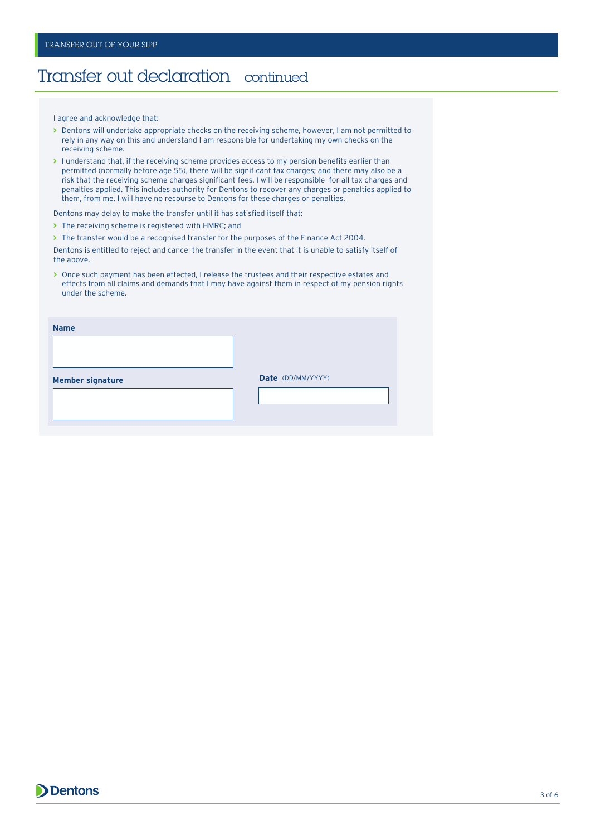#### Transfer out declaration continued

I agree and acknowledge that:

- **>** Dentons will undertake appropriate checks on the receiving scheme, however, I am not permitted to rely in any way on this and understand I am responsible for undertaking my own checks on the receiving scheme.
- **>** I understand that, if the receiving scheme provides access to my pension benefits earlier than permitted (normally before age 55), there will be significant tax charges; and there may also be a risk that the receiving scheme charges significant fees. I will be responsible for all tax charges and penalties applied. This includes authority for Dentons to recover any charges or penalties applied to them, from me. I will have no recourse to Dentons for these charges or penalties.

Dentons may delay to make the transfer until it has satisfied itself that:

**>** The receiving scheme is registered with HMRC; and

**>** The transfer would be a recognised transfer for the purposes of the Finance Act 2004.

Dentons is entitled to reject and cancel the transfer in the event that it is unable to satisfy itself of the above.

**>** Once such payment has been effected, I release the trustees and their respective estates and effects from all claims and demands that I may have against them in respect of my pension rights under the scheme.

| Date (DD/MM/YYYY)<br><b>Member signature</b> |  |
|----------------------------------------------|--|
|                                              |  |
|                                              |  |
|                                              |  |

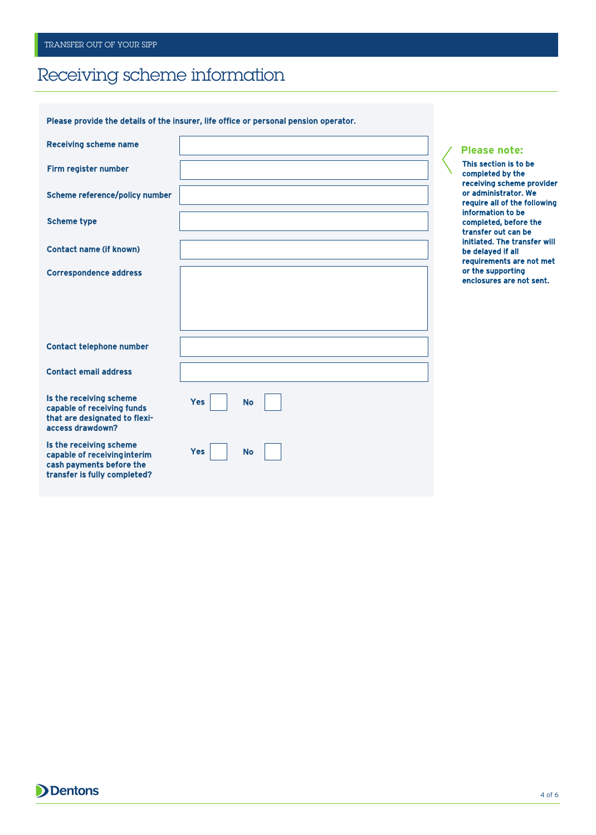### Receiving scheme information

Please provide the details of the insurer, life office or personal pension operator.

| <b>Receiving scheme name</b>                                                                                        |                         |
|---------------------------------------------------------------------------------------------------------------------|-------------------------|
| Firm register number                                                                                                |                         |
| <b>Scheme reference/policy number</b>                                                                               |                         |
| <b>Scheme type</b>                                                                                                  |                         |
| <b>Contact name (if known)</b>                                                                                      |                         |
| <b>Correspondence address</b>                                                                                       |                         |
|                                                                                                                     |                         |
|                                                                                                                     |                         |
| <b>Contact telephone number</b>                                                                                     |                         |
| <b>Contact email address</b>                                                                                        |                         |
| Is the receiving scheme<br>capable of receiving funds<br>that are designated to flexi-<br>access drawdown?          | <b>Yes</b><br><b>No</b> |
| Is the receiving scheme<br>capable of receiving interim<br>cash payments before the<br>transfer is fully completed? | <b>Yes</b><br><b>No</b> |

#### **Please note:**

This section is to be completed by the receiving scheme provider or administrator. We require all of the following information to be completed, before the transfer out can be initiated. The transfer will be delayed if all requirements are not met or the supporting enclosures are not sent.

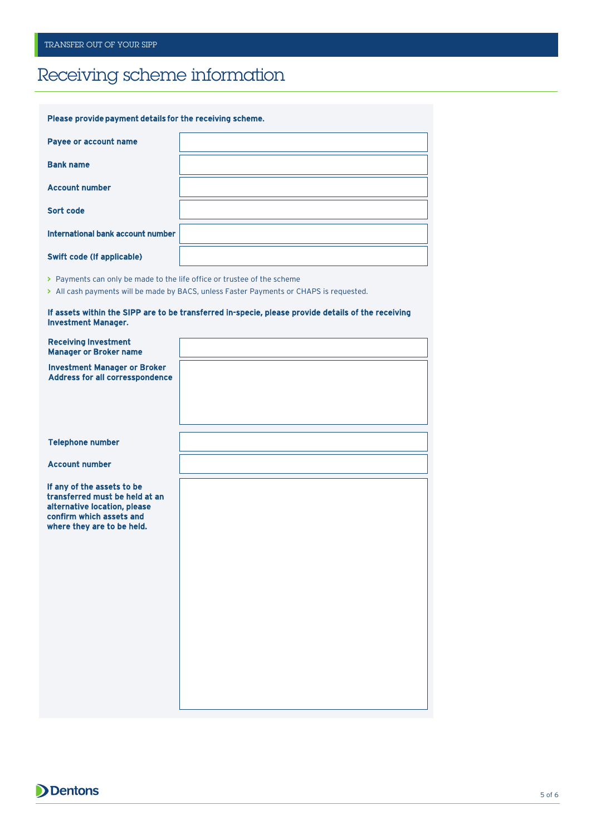## Receiving scheme information

| Please provide payment details for the receiving scheme. |  |
|----------------------------------------------------------|--|
| Payee or account name                                    |  |
| <b>Bank name</b>                                         |  |
| <b>Account number</b>                                    |  |
| Sort code                                                |  |
| International bank account number                        |  |
| <b>Swift code (If applicable)</b>                        |  |

**>** Payments can only be made to the life office or trustee of the scheme

**>** All cash payments will be made by BACS, unless Faster Payments or CHAPS is requested.

| If assets within the SIPP are to be transferred in-specie, please provide details of the receiving |  |  |
|----------------------------------------------------------------------------------------------------|--|--|
| <b>Investment Manager.</b>                                                                         |  |  |

| <b>Receiving Investment</b><br><b>Manager or Broker name</b>                                                                                           |  |
|--------------------------------------------------------------------------------------------------------------------------------------------------------|--|
| <b>Investment Manager or Broker</b><br><b>Address for all corresspondence</b>                                                                          |  |
|                                                                                                                                                        |  |
| <b>Telephone number</b>                                                                                                                                |  |
| <b>Account number</b>                                                                                                                                  |  |
| If any of the assets to be<br>transferred must be held at an<br>alternative location, please<br>confirm which assets and<br>where they are to be held. |  |
|                                                                                                                                                        |  |
|                                                                                                                                                        |  |

**Dentons**